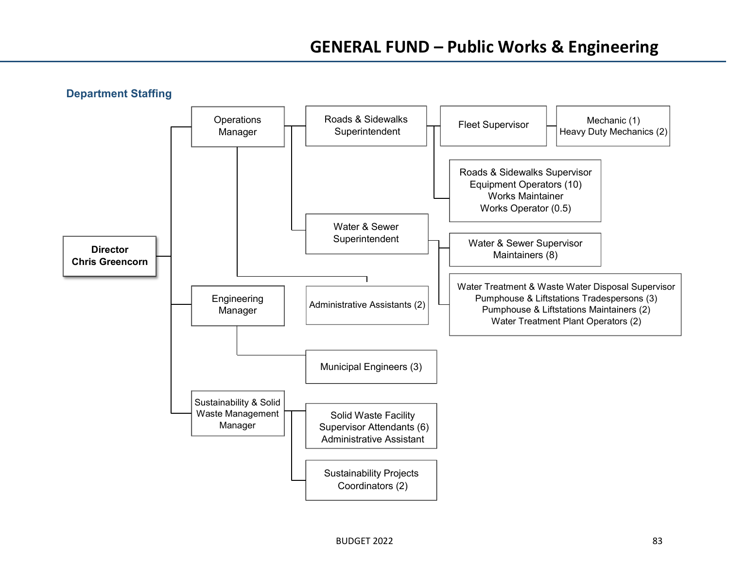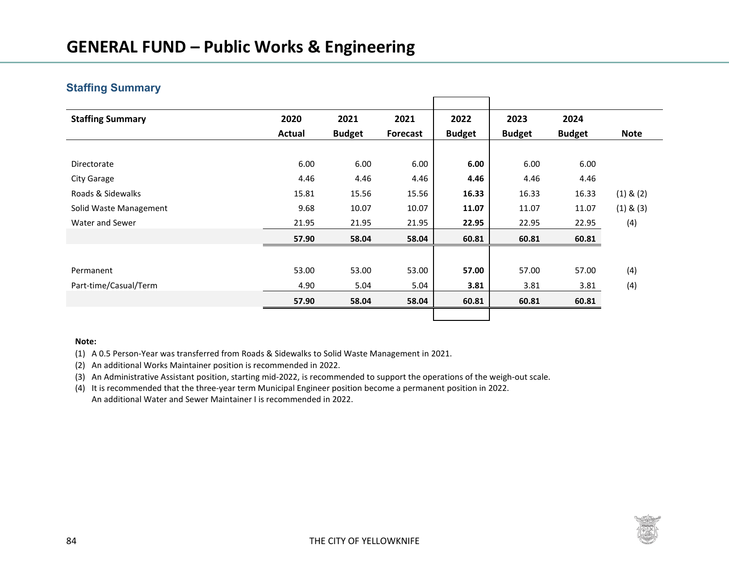### **Staffing Summary**

| <b>Staffing Summary</b> | 2020   | 2021          | 2021            | 2022          | 2023          | 2024          |               |
|-------------------------|--------|---------------|-----------------|---------------|---------------|---------------|---------------|
|                         | Actual | <b>Budget</b> | <b>Forecast</b> | <b>Budget</b> | <b>Budget</b> | <b>Budget</b> | <b>Note</b>   |
|                         |        |               |                 |               |               |               |               |
| Directorate             | 6.00   | 6.00          | 6.00            | 6.00          | 6.00          | 6.00          |               |
| City Garage             | 4.46   | 4.46          | 4.46            | 4.46          | 4.46          | 4.46          |               |
| Roads & Sidewalks       | 15.81  | 15.56         | 15.56           | 16.33         | 16.33         | 16.33         | $(1)$ & $(2)$ |
| Solid Waste Management  | 9.68   | 10.07         | 10.07           | 11.07         | 11.07         | 11.07         | $(1)$ & $(3)$ |
| Water and Sewer         | 21.95  | 21.95         | 21.95           | 22.95         | 22.95         | 22.95         | (4)           |
|                         | 57.90  | 58.04         | 58.04           | 60.81         | 60.81         | 60.81         |               |
|                         |        |               |                 |               |               |               |               |
| Permanent               | 53.00  | 53.00         | 53.00           | 57.00         | 57.00         | 57.00         | (4)           |
| Part-time/Casual/Term   | 4.90   | 5.04          | 5.04            | 3.81          | 3.81          | 3.81          | (4)           |
|                         | 57.90  | 58.04         | 58.04           | 60.81         | 60.81         | 60.81         |               |
|                         |        |               |                 |               |               |               |               |

#### **Note:**

(1) A 0.5 Person-Year was transferred from Roads & Sidewalks to Solid Waste Management in 2021.

(2) An additional Works Maintainer position is recommended in 2022.

(3) An Administrative Assistant position, starting mid-2022, is recommended to support the operations of the weigh-out scale.

(4) It is recommended that the three-year term Municipal Engineer position become a permanent position in 2022. An additional Water and Sewer Maintainer I is recommended in 2022.

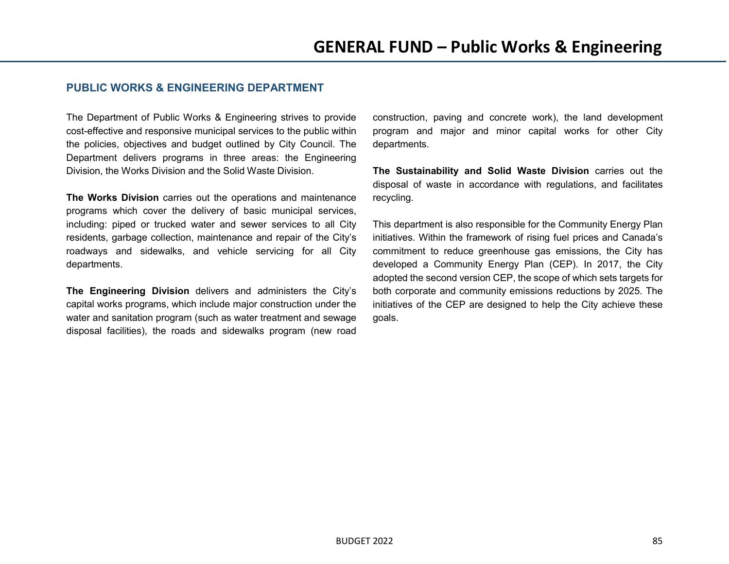### **PUBLIC WORKS & ENGINEERING DEPARTMENT**

The Department of Public Works & Engineering strives to provide cost-effective and responsive municipal services to the public within the policies, objectives and budget outlined by City Council. The Department delivers programs in three areas: the Engineering Division, the Works Division and the Solid Waste Division.

**The Works Division** carries out the operations and maintenance programs which cover the delivery of basic municipal services, including: piped or trucked water and sewer services to all City residents, garbage collection, maintenance and repair of the City's roadways and sidewalks, and vehicle servicing for all City departments.

**The Engineering Division** delivers and administers the City's capital works programs, which include major construction under the water and sanitation program (such as water treatment and sewage disposal facilities), the roads and sidewalks program (new road

construction, paving and concrete work), the land development program and major and minor capital works for other City departments.

**The Sustainability and Solid Waste Division** carries out the disposal of waste in accordance with regulations, and facilitates recycling.

This department is also responsible for the Community Energy Plan initiatives. Within the framework of rising fuel prices and Canada's commitment to reduce greenhouse gas emissions, the City has developed a Community Energy Plan (CEP). In 2017, the City adopted the second version CEP, the scope of which sets targets for both corporate and community emissions reductions by 2025. The initiatives of the CEP are designed to help the City achieve these goals.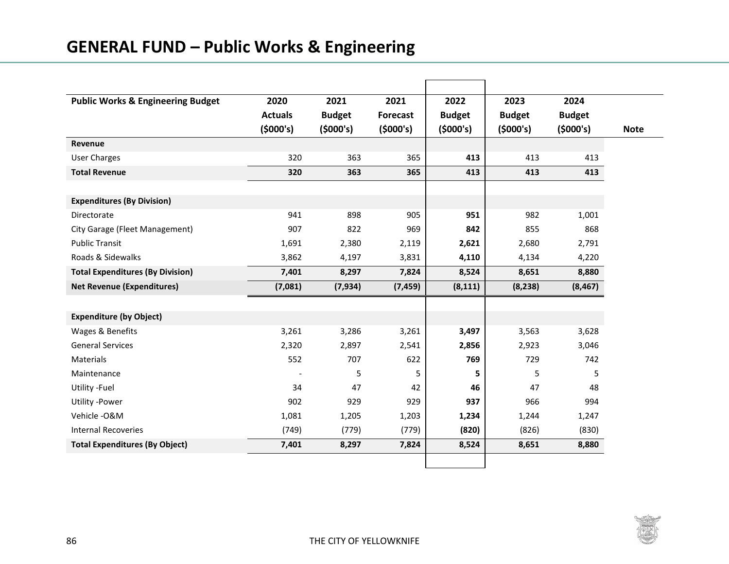| <b>Public Works &amp; Engineering Budget</b> | 2020           | 2021          | 2021            | 2022          | 2023          | 2024          |
|----------------------------------------------|----------------|---------------|-----------------|---------------|---------------|---------------|
|                                              | <b>Actuals</b> | <b>Budget</b> | <b>Forecast</b> | <b>Budget</b> | <b>Budget</b> | <b>Budget</b> |
|                                              | (5000's)       | (5000's)      | (5000's)        | (5000's)      | (5000's)      | (5000's)      |
| Revenue                                      |                |               |                 |               |               |               |
| <b>User Charges</b>                          | 320            | 363           | 365             | 413           | 413           | 413           |
| <b>Total Revenue</b>                         | 320            | 363           | 365             | 413           | 413           | 413           |
|                                              |                |               |                 |               |               |               |
| <b>Expenditures (By Division)</b>            |                |               |                 |               |               |               |
| Directorate                                  | 941            | 898           | 905             | 951           | 982           | 1,001         |
| City Garage (Fleet Management)               | 907            | 822           | 969             | 842           | 855           | 868           |
| <b>Public Transit</b>                        | 1,691          | 2,380         | 2,119           | 2,621         | 2,680         | 2,791         |
| Roads & Sidewalks                            | 3,862          | 4,197         | 3,831           | 4,110         | 4,134         | 4,220         |
| <b>Total Expenditures (By Division)</b>      | 7,401          | 8,297         | 7,824           | 8,524         | 8,651         | 8,880         |
| <b>Net Revenue (Expenditures)</b>            | (7,081)        | (7, 934)      | (7, 459)        | (8, 111)      | (8, 238)      | (8, 467)      |
|                                              |                |               |                 |               |               |               |
| <b>Expenditure (by Object)</b>               |                |               |                 |               |               |               |
| Wages & Benefits                             | 3,261          | 3,286         | 3,261           | 3,497         | 3,563         | 3,628         |
| <b>General Services</b>                      | 2,320          | 2,897         | 2,541           | 2,856         | 2,923         | 3,046         |
| <b>Materials</b>                             | 552            | 707           | 622             | 769           | 729           | 742           |
| Maintenance                                  |                | 5             | 5               | 5             | 5             | 5             |
| Utility -Fuel                                | 34             | 47            | 42              | 46            | 47            | 48            |
| <b>Utility -Power</b>                        | 902            | 929           | 929             | 937           | 966           | 994           |
| Vehicle-O&M                                  | 1,081          | 1,205         | 1,203           | 1,234         | 1,244         | 1,247         |
| <b>Internal Recoveries</b>                   | (749)          | (779)         | (779)           | (820)         | (826)         | (830)         |
| <b>Total Expenditures (By Object)</b>        | 7,401          | 8,297         | 7,824           | 8,524         | 8,651         | 8,880         |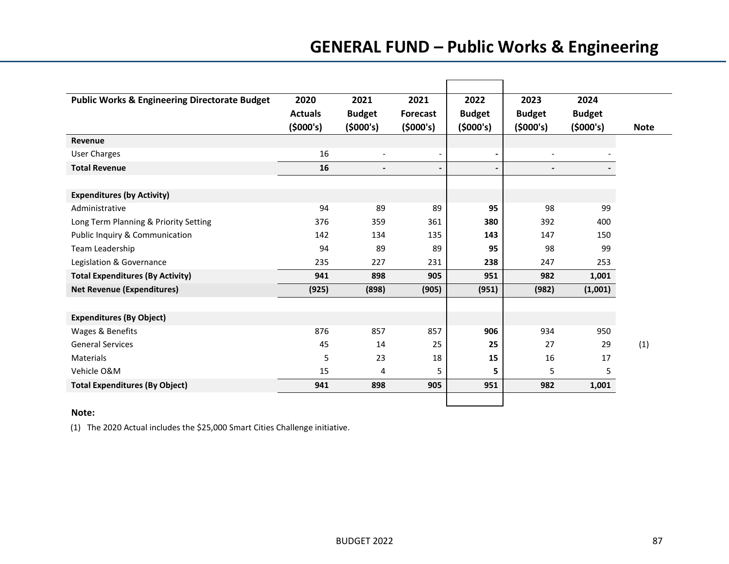| <b>Public Works &amp; Engineering Directorate Budget</b> | 2020           | 2021           | 2021                     | 2022           | 2023                     | 2024          |             |
|----------------------------------------------------------|----------------|----------------|--------------------------|----------------|--------------------------|---------------|-------------|
|                                                          | <b>Actuals</b> | <b>Budget</b>  | <b>Forecast</b>          | <b>Budget</b>  | <b>Budget</b>            | <b>Budget</b> |             |
|                                                          | (5000's)       | (5000's)       | (5000's)                 | (5000's)       | (5000's)                 | (5000's)      | <b>Note</b> |
| Revenue                                                  |                |                |                          |                |                          |               |             |
| <b>User Charges</b>                                      | 16             |                | $\overline{\phantom{a}}$ | $\blacksquare$ | $\overline{\phantom{a}}$ |               |             |
| <b>Total Revenue</b>                                     | 16             | $\blacksquare$ | $\blacksquare$           | $\blacksquare$ | $\overline{\phantom{a}}$ |               |             |
|                                                          |                |                |                          |                |                          |               |             |
| <b>Expenditures (by Activity)</b>                        |                |                |                          |                |                          |               |             |
| Administrative                                           | 94             | 89             | 89                       | 95             | 98                       | 99            |             |
| Long Term Planning & Priority Setting                    | 376            | 359            | 361                      | 380            | 392                      | 400           |             |
| Public Inquiry & Communication                           | 142            | 134            | 135                      | 143            | 147                      | 150           |             |
| Team Leadership                                          | 94             | 89             | 89                       | 95             | 98                       | 99            |             |
| Legislation & Governance                                 | 235            | 227            | 231                      | 238            | 247                      | 253           |             |
| <b>Total Expenditures (By Activity)</b>                  | 941            | 898            | 905                      | 951            | 982                      | 1,001         |             |
| <b>Net Revenue (Expenditures)</b>                        | (925)          | (898)          | (905)                    | (951)          | (982)                    | (1,001)       |             |
|                                                          |                |                |                          |                |                          |               |             |
| <b>Expenditures (By Object)</b>                          |                |                |                          |                |                          |               |             |
| Wages & Benefits                                         | 876            | 857            | 857                      | 906            | 934                      | 950           |             |
| <b>General Services</b>                                  | 45             | 14             | 25                       | 25             | 27                       | 29            | (1)         |
| <b>Materials</b>                                         | 5              | 23             | 18                       | 15             | 16                       | 17            |             |
| Vehicle O&M                                              | 15             | 4              | 5                        | 5              | 5                        | 5             |             |
| <b>Total Expenditures (By Object)</b>                    | 941            | 898            | 905                      | 951            | 982                      | 1,001         |             |
|                                                          |                |                |                          |                |                          |               |             |

### **Note:**

(1) The 2020 Actual includes the \$25,000 Smart Cities Challenge initiative.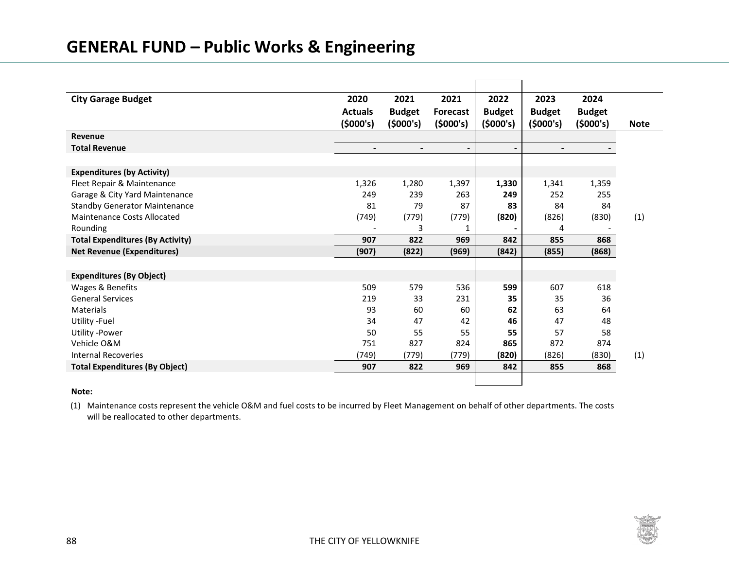| <b>City Garage Budget</b>               | 2020           | 2021          | 2021                     | 2022           | 2023          | 2024          |             |
|-----------------------------------------|----------------|---------------|--------------------------|----------------|---------------|---------------|-------------|
|                                         | <b>Actuals</b> | <b>Budget</b> | <b>Forecast</b>          | <b>Budget</b>  | <b>Budget</b> | <b>Budget</b> |             |
|                                         | (5000's)       | (5000's)      | (5000's)                 | (5000's)       | (5000's)      | (5000's)      | <b>Note</b> |
| Revenue                                 |                |               |                          |                |               |               |             |
| <b>Total Revenue</b>                    | $\blacksquare$ |               | $\overline{\phantom{a}}$ | $\blacksquare$ |               |               |             |
|                                         |                |               |                          |                |               |               |             |
| <b>Expenditures (by Activity)</b>       |                |               |                          |                |               |               |             |
| Fleet Repair & Maintenance              | 1,326          | 1,280         | 1,397                    | 1,330          | 1,341         | 1,359         |             |
| Garage & City Yard Maintenance          | 249            | 239           | 263                      | 249            | 252           | 255           |             |
| <b>Standby Generator Maintenance</b>    | 81             | 79            | 87                       | 83             | 84            | 84            |             |
| Maintenance Costs Allocated             | (749)          | (779)         | (779)                    | (820)          | (826)         | (830)         | (1)         |
| Rounding                                |                | 3             | 1                        | $\blacksquare$ | 4             |               |             |
| <b>Total Expenditures (By Activity)</b> | 907            | 822           | 969                      | 842            | 855           | 868           |             |
| <b>Net Revenue (Expenditures)</b>       | (907)          | (822)         | (969)                    | (842)          | (855)         | (868)         |             |
|                                         |                |               |                          |                |               |               |             |
| <b>Expenditures (By Object)</b>         |                |               |                          |                |               |               |             |
| Wages & Benefits                        | 509            | 579           | 536                      | 599            | 607           | 618           |             |
| <b>General Services</b>                 | 219            | 33            | 231                      | 35             | 35            | 36            |             |
| Materials                               | 93             | 60            | 60                       | 62             | 63            | 64            |             |
| Utility - Fuel                          | 34             | 47            | 42                       | 46             | 47            | 48            |             |
| Utility -Power                          | 50             | 55            | 55                       | 55             | 57            | 58            |             |
| Vehicle O&M                             | 751            | 827           | 824                      | 865            | 872           | 874           |             |
| <b>Internal Recoveries</b>              | (749)          | (779)         | (779)                    | (820)          | (826)         | (830)         | (1)         |
| <b>Total Expenditures (By Object)</b>   | 907            | 822           | 969                      | 842            | 855           | 868           |             |
|                                         |                |               |                          |                |               |               |             |
|                                         |                |               |                          |                |               |               |             |

#### **Note:**

(1) Maintenance costs represent the vehicle O&M and fuel costs to be incurred by Fleet Management on behalf of other departments. The costs will be reallocated to other departments.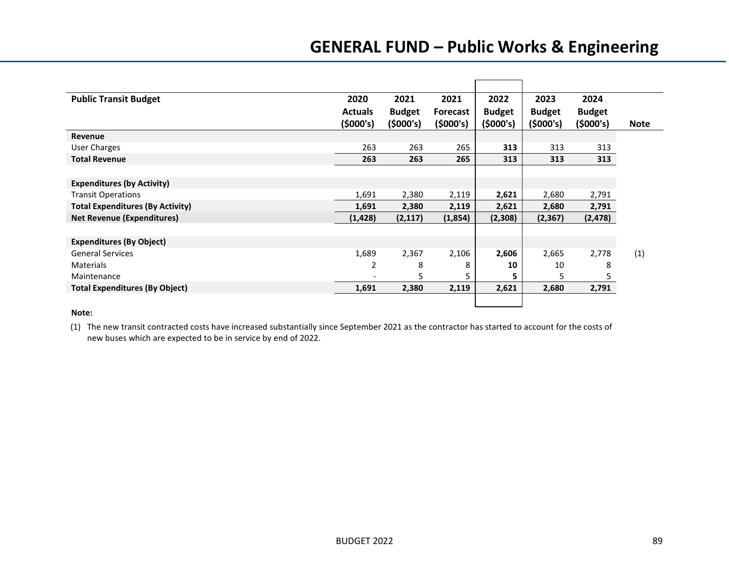| <b>Public Transit Budget</b>            | 2020           | 2021          | 2021            | 2022          | 2023          | 2024          |             |
|-----------------------------------------|----------------|---------------|-----------------|---------------|---------------|---------------|-------------|
|                                         | <b>Actuals</b> | <b>Budget</b> | <b>Forecast</b> | <b>Budget</b> | <b>Budget</b> | <b>Budget</b> |             |
|                                         | (5000's)       | (5000's)      | (5000's)        | (5000's)      | (5000's)      | (5000's)      | <b>Note</b> |
| Revenue                                 |                |               |                 |               |               |               |             |
| User Charges                            | 263            | 263           | 265             | 313           | 313           | 313           |             |
| <b>Total Revenue</b>                    | 263            | 263           | 265             | 313           | 313           | 313           |             |
|                                         |                |               |                 |               |               |               |             |
| <b>Expenditures (by Activity)</b>       |                |               |                 |               |               |               |             |
| <b>Transit Operations</b>               | 1,691          | 2,380         | 2,119           | 2,621         | 2,680         | 2,791         |             |
| <b>Total Expenditures (By Activity)</b> | 1,691          | 2,380         | 2,119           | 2,621         | 2,680         | 2,791         |             |
| <b>Net Revenue (Expenditures)</b>       | (1, 428)       | (2, 117)      | (1,854)         | (2,308)       | (2,367)       | (2, 478)      |             |
|                                         |                |               |                 |               |               |               |             |
| <b>Expenditures (By Object)</b>         |                |               |                 |               |               |               |             |
| <b>General Services</b>                 | 1,689          | 2,367         | 2,106           | 2,606         | 2,665         | 2,778         | (1)         |
| <b>Materials</b>                        | 2              | 8             | 8               | 10            | 10            | 8             |             |
| Maintenance                             |                | 5             |                 | 5.            | 5             | 5.            |             |
| <b>Total Expenditures (By Object)</b>   | 1,691          | 2,380         | 2,119           | 2,621         | 2,680         | 2,791         |             |
|                                         |                |               |                 |               |               |               |             |

### **Note:**

(1) The new transit contracted costs have increased substantially since September 2021 as the contractor has started to account for the costs of new buses which are expected to be in service by end of 2022.